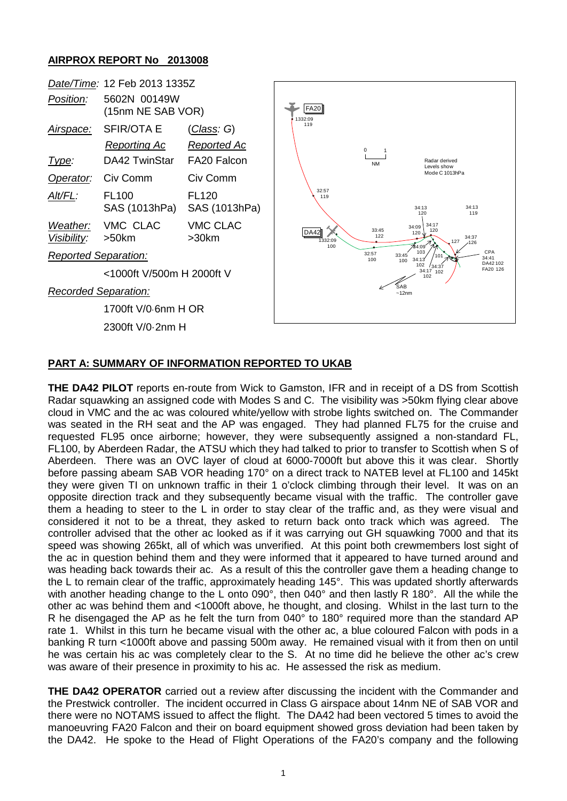## **AIRPROX REPORT No 2013008**

|                                  | Date/Time: 12 Feb 2013 1335Z                       |                                                  |                               |                                                  |                                                                            |
|----------------------------------|----------------------------------------------------|--------------------------------------------------|-------------------------------|--------------------------------------------------|----------------------------------------------------------------------------|
| Position:                        | 5602N 00149W<br>(15nm NE SAB VOR)                  |                                                  | <b>FA20</b><br>1332:09        |                                                  |                                                                            |
| <u>Airspace:</u><br><u>Type:</u> | <b>SFIR/OTA E</b><br>Reporting Ac<br>DA42 TwinStar | <u>(Class</u> : G)<br>Reported Ac<br>FA20 Falcon | 119                           | 0<br><b>NM</b>                                   | Radar derived                                                              |
| Operator:                        | Civ Comm                                           | Civ Comm                                         |                               |                                                  | Levels show<br>Mode C 1013hPa                                              |
| Alt/FL:                          | <b>FL100</b><br>SAS (1013hPa)                      | <b>FL120</b><br>SAS (1013hPa)                    | 32:57<br>119                  |                                                  | 34:13<br>34:13<br>119<br>120                                               |
| Weather:<br>Visibility:          | VMC CLAC<br>>50km                                  | <b>VMC CLAC</b><br>>30km                         | <b>DA42</b><br>1332:09<br>100 | 33:45<br>122                                     | 34:17<br>34:09<br>120<br>$120\sqrt{ }$<br>34:37<br>127<br>$-126$<br>784:09 |
| <b>Reported Separation:</b>      |                                                    |                                                  |                               | 32:57<br>100                                     | CPA<br>103<br>33:45<br>101<br>34:41<br>34:13'<br>100<br>DA42102            |
|                                  | <1000ft V/500m H 2000ft V                          |                                                  |                               | 102<br>134:37<br>FA20 126<br>34:17<br>102<br>102 |                                                                            |
| <b>Recorded Separation:</b>      |                                                    |                                                  |                               |                                                  | <b>SAB</b><br>~12nm                                                        |
|                                  | 1700ft V/0.6nm H OR                                |                                                  |                               |                                                  |                                                                            |
| 2300ft V/0-2nm H                 |                                                    |                                                  |                               |                                                  |                                                                            |
|                                  |                                                    |                                                  |                               |                                                  |                                                                            |

## **PART A: SUMMARY OF INFORMATION REPORTED TO UKAB**

**THE DA42 PILOT** reports en-route from Wick to Gamston, IFR and in receipt of a DS from Scottish Radar squawking an assigned code with Modes S and C. The visibility was >50km flying clear above cloud in VMC and the ac was coloured white/yellow with strobe lights switched on. The Commander was seated in the RH seat and the AP was engaged. They had planned FL75 for the cruise and requested FL95 once airborne; however, they were subsequently assigned a non-standard FL, FL100, by Aberdeen Radar, the ATSU which they had talked to prior to transfer to Scottish when S of Aberdeen. There was an OVC layer of cloud at 6000-7000ft but above this it was clear. Shortly before passing abeam SAB VOR heading 170° on a direct track to NATEB level at FL100 and 145kt they were given TI on unknown traffic in their 1 o'clock climbing through their level. It was on an opposite direction track and they subsequently became visual with the traffic. The controller gave them a heading to steer to the L in order to stay clear of the traffic and, as they were visual and considered it not to be a threat, they asked to return back onto track which was agreed. The controller advised that the other ac looked as if it was carrying out GH squawking 7000 and that its speed was showing 265kt, all of which was unverified. At this point both crewmembers lost sight of the ac in question behind them and they were informed that it appeared to have turned around and was heading back towards their ac. As a result of this the controller gave them a heading change to the L to remain clear of the traffic, approximately heading 145°. This was updated shortly afterwards with another heading change to the L onto 090°, then 040° and then lastly R 180°. All the while the other ac was behind them and <1000ft above, he thought, and closing. Whilst in the last turn to the R he disengaged the AP as he felt the turn from 040° to 180° required more than the standard AP rate 1. Whilst in this turn he became visual with the other ac, a blue coloured Falcon with pods in a banking R turn <1000ft above and passing 500m away. He remained visual with it from then on until he was certain his ac was completely clear to the S. At no time did he believe the other ac's crew was aware of their presence in proximity to his ac. He assessed the risk as medium.

**THE DA42 OPERATOR** carried out a review after discussing the incident with the Commander and the Prestwick controller. The incident occurred in Class G airspace about 14nm NE of SAB VOR and there were no NOTAMS issued to affect the flight. The DA42 had been vectored 5 times to avoid the manoeuvring FA20 Falcon and their on board equipment showed gross deviation had been taken by the DA42. He spoke to the Head of Flight Operations of the FA20's company and the following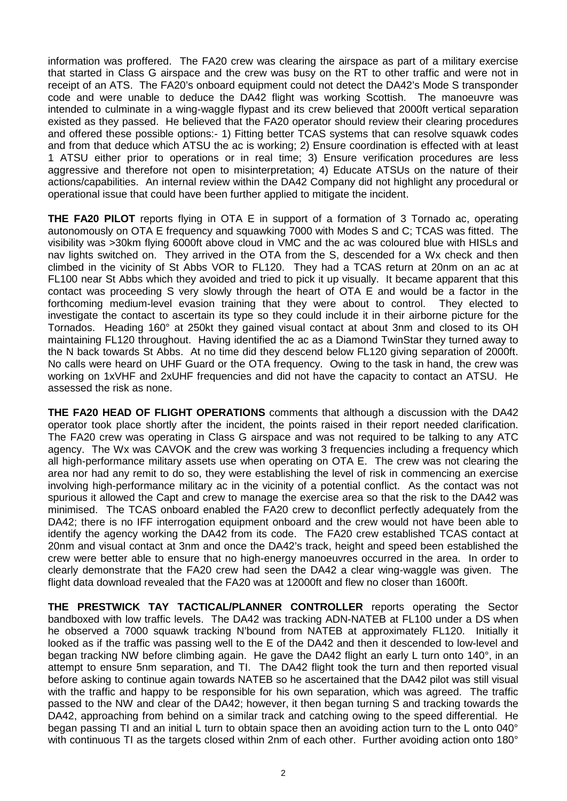information was proffered. The FA20 crew was clearing the airspace as part of a military exercise that started in Class G airspace and the crew was busy on the RT to other traffic and were not in receipt of an ATS. The FA20's onboard equipment could not detect the DA42's Mode S transponder code and were unable to deduce the DA42 flight was working Scottish. The manoeuvre was intended to culminate in a wing-waggle flypast and its crew believed that 2000ft vertical separation existed as they passed. He believed that the FA20 operator should review their clearing procedures and offered these possible options:- 1) Fitting better TCAS systems that can resolve squawk codes and from that deduce which ATSU the ac is working; 2) Ensure coordination is effected with at least 1 ATSU either prior to operations or in real time; 3) Ensure verification procedures are less aggressive and therefore not open to misinterpretation; 4) Educate ATSUs on the nature of their actions/capabilities. An internal review within the DA42 Company did not highlight any procedural or operational issue that could have been further applied to mitigate the incident.

**THE FA20 PILOT** reports flying in OTA E in support of a formation of 3 Tornado ac, operating autonomously on OTA E frequency and squawking 7000 with Modes S and C; TCAS was fitted. The visibility was >30km flying 6000ft above cloud in VMC and the ac was coloured blue with HISLs and nav lights switched on. They arrived in the OTA from the S, descended for a Wx check and then climbed in the vicinity of St Abbs VOR to FL120. They had a TCAS return at 20nm on an ac at FL100 near St Abbs which they avoided and tried to pick it up visually. It became apparent that this contact was proceeding S very slowly through the heart of OTA E and would be a factor in the forthcoming medium-level evasion training that they were about to control. They elected to investigate the contact to ascertain its type so they could include it in their airborne picture for the Tornados. Heading 160° at 250kt they gained visual contact at about 3nm and closed to its OH maintaining FL120 throughout. Having identified the ac as a Diamond TwinStar they turned away to the N back towards St Abbs. At no time did they descend below FL120 giving separation of 2000ft. No calls were heard on UHF Guard or the OTA frequency. Owing to the task in hand, the crew was working on 1xVHF and 2xUHF frequencies and did not have the capacity to contact an ATSU. He assessed the risk as none.

**THE FA20 HEAD OF FLIGHT OPERATIONS** comments that although a discussion with the DA42 operator took place shortly after the incident, the points raised in their report needed clarification. The FA20 crew was operating in Class G airspace and was not required to be talking to any ATC agency. The Wx was CAVOK and the crew was working 3 frequencies including a frequency which all high-performance military assets use when operating on OTA E. The crew was not clearing the area nor had any remit to do so, they were establishing the level of risk in commencing an exercise involving high-performance military ac in the vicinity of a potential conflict. As the contact was not spurious it allowed the Capt and crew to manage the exercise area so that the risk to the DA42 was minimised. The TCAS onboard enabled the FA20 crew to deconflict perfectly adequately from the DA42; there is no IFF interrogation equipment onboard and the crew would not have been able to identify the agency working the DA42 from its code. The FA20 crew established TCAS contact at 20nm and visual contact at 3nm and once the DA42's track, height and speed been established the crew were better able to ensure that no high-energy manoeuvres occurred in the area. In order to clearly demonstrate that the FA20 crew had seen the DA42 a clear wing-waggle was given. The flight data download revealed that the FA20 was at 12000ft and flew no closer than 1600ft.

**THE PRESTWICK TAY TACTICAL/PLANNER CONTROLLER** reports operating the Sector bandboxed with low traffic levels. The DA42 was tracking ADN-NATEB at FL100 under a DS when he observed a 7000 squawk tracking N'bound from NATEB at approximately FL120. Initially it looked as if the traffic was passing well to the E of the DA42 and then it descended to low-level and began tracking NW before climbing again. He gave the DA42 flight an early L turn onto 140°, in an attempt to ensure 5nm separation, and TI. The DA42 flight took the turn and then reported visual before asking to continue again towards NATEB so he ascertained that the DA42 pilot was still visual with the traffic and happy to be responsible for his own separation, which was agreed. The traffic passed to the NW and clear of the DA42; however, it then began turning S and tracking towards the DA42, approaching from behind on a similar track and catching owing to the speed differential. He began passing TI and an initial L turn to obtain space then an avoiding action turn to the L onto 040° with continuous TI as the targets closed within 2nm of each other. Further avoiding action onto 180°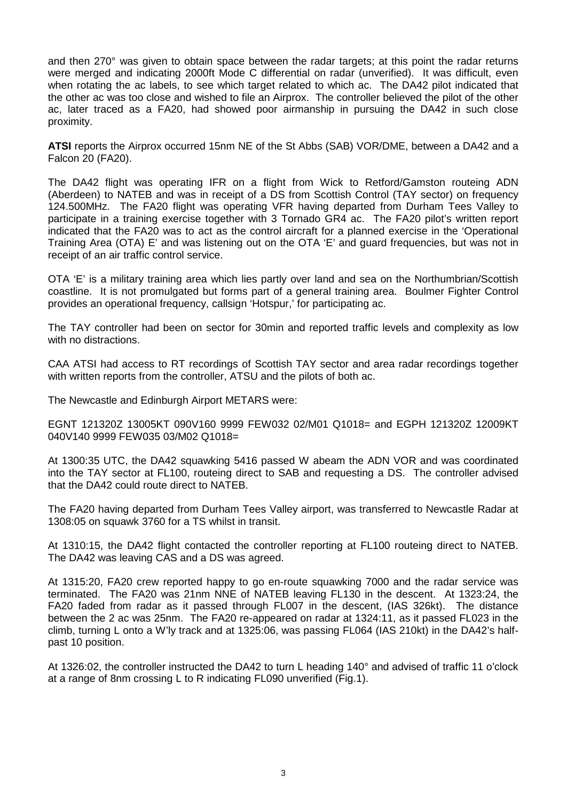and then 270° was given to obtain space between the radar targets; at this point the radar returns were merged and indicating 2000ft Mode C differential on radar (unverified). It was difficult, even when rotating the ac labels, to see which target related to which ac. The DA42 pilot indicated that the other ac was too close and wished to file an Airprox. The controller believed the pilot of the other ac, later traced as a FA20, had showed poor airmanship in pursuing the DA42 in such close proximity.

**ATSI** reports the Airprox occurred 15nm NE of the St Abbs (SAB) VOR/DME, between a DA42 and a Falcon 20 (FA20).

The DA42 flight was operating IFR on a flight from Wick to Retford/Gamston routeing ADN (Aberdeen) to NATEB and was in receipt of a DS from Scottish Control (TAY sector) on frequency 124.500MHz. The FA20 flight was operating VFR having departed from Durham Tees Valley to participate in a training exercise together with 3 Tornado GR4 ac. The FA20 pilot's written report indicated that the FA20 was to act as the control aircraft for a planned exercise in the 'Operational Training Area (OTA) E' and was listening out on the OTA 'E' and guard frequencies, but was not in receipt of an air traffic control service.

OTA 'E' is a military training area which lies partly over land and sea on the Northumbrian/Scottish coastline. It is not promulgated but forms part of a general training area. Boulmer Fighter Control provides an operational frequency, callsign 'Hotspur,' for participating ac.

The TAY controller had been on sector for 30min and reported traffic levels and complexity as low with no distractions.

CAA ATSI had access to RT recordings of Scottish TAY sector and area radar recordings together with written reports from the controller, ATSU and the pilots of both ac.

The Newcastle and Edinburgh Airport METARS were:

EGNT 121320Z 13005KT 090V160 9999 FEW032 02/M01 Q1018= and EGPH 121320Z 12009KT 040V140 9999 FEW035 03/M02 Q1018=

At 1300:35 UTC, the DA42 squawking 5416 passed W abeam the ADN VOR and was coordinated into the TAY sector at FL100, routeing direct to SAB and requesting a DS. The controller advised that the DA42 could route direct to NATEB.

The FA20 having departed from Durham Tees Valley airport, was transferred to Newcastle Radar at 1308:05 on squawk 3760 for a TS whilst in transit.

At 1310:15, the DA42 flight contacted the controller reporting at FL100 routeing direct to NATEB. The DA42 was leaving CAS and a DS was agreed.

At 1315:20, FA20 crew reported happy to go en-route squawking 7000 and the radar service was terminated. The FA20 was 21nm NNE of NATEB leaving FL130 in the descent. At 1323:24, the FA20 faded from radar as it passed through FL007 in the descent, (IAS 326kt). The distance between the 2 ac was 25nm. The FA20 re-appeared on radar at 1324:11, as it passed FL023 in the climb, turning L onto a W'ly track and at 1325:06, was passing FL064 (IAS 210kt) in the DA42's halfpast 10 position.

At 1326:02, the controller instructed the DA42 to turn L heading 140° and advised of traffic 11 o'clock at a range of 8nm crossing L to R indicating FL090 unverified (Fig.1).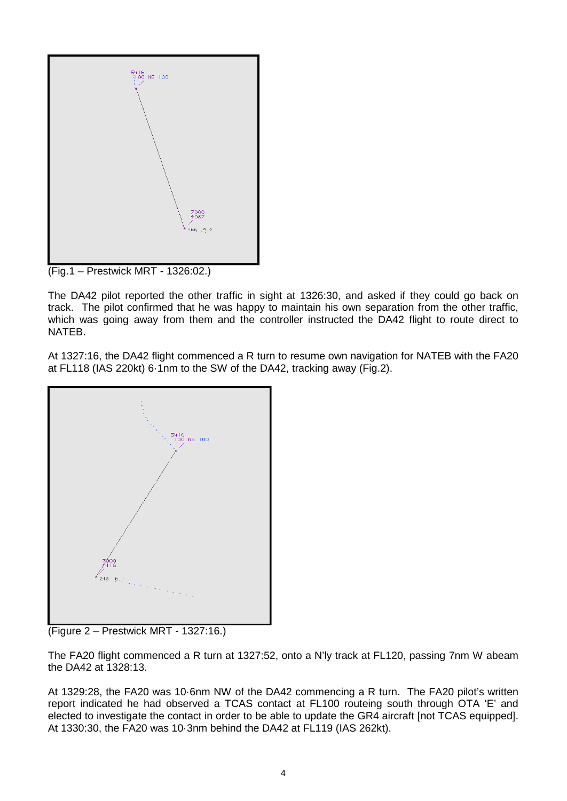

The DA42 pilot reported the other traffic in sight at 1326:30, and asked if they could go back on track. The pilot confirmed that he was happy to maintain his own separation from the other traffic, which was going away from them and the controller instructed the DA42 flight to route direct to NATEB.

At 1327:16, the DA42 flight commenced a R turn to resume own navigation for NATEB with the FA20 at FL118 (IAS 220kt) 6·1nm to the SW of the DA42, tracking away (Fig.2).



(Figure 2 – Prestwick MRT - 1327:16.)

The FA20 flight commenced a R turn at 1327:52, onto a N'ly track at FL120, passing 7nm W abeam the DA42 at 1328:13.

At 1329:28, the FA20 was 10·6nm NW of the DA42 commencing a R turn. The FA20 pilot's written report indicated he had observed a TCAS contact at FL100 routeing south through OTA 'E' and elected to investigate the contact in order to be able to update the GR4 aircraft [not TCAS equipped]. At 1330:30, the FA20 was 10·3nm behind the DA42 at FL119 (IAS 262kt).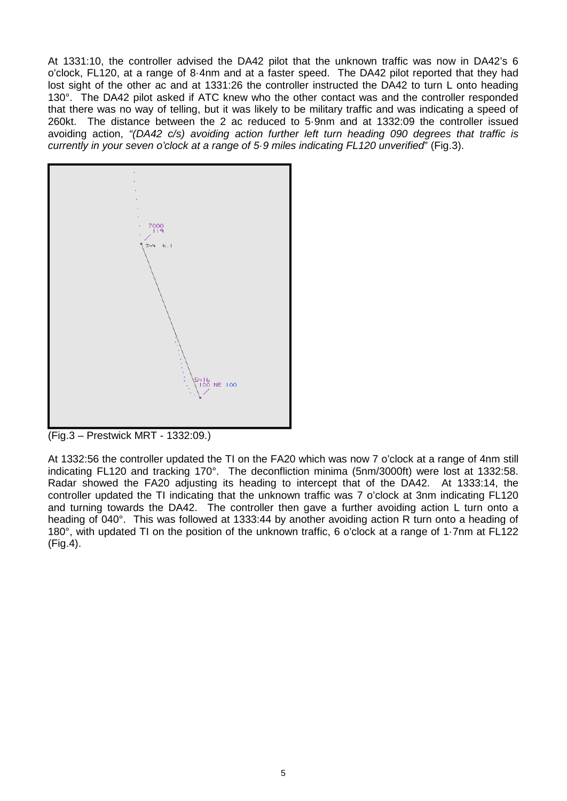At 1331:10, the controller advised the DA42 pilot that the unknown traffic was now in DA42's 6 o'clock, FL120, at a range of 8·4nm and at a faster speed. The DA42 pilot reported that they had lost sight of the other ac and at 1331:26 the controller instructed the DA42 to turn L onto heading 130°. The DA42 pilot asked if ATC knew who the other contact was and the controller responded that there was no way of telling, but it was likely to be military traffic and was indicating a speed of 260kt. The distance between the 2 ac reduced to 5·9nm and at 1332:09 the controller issued avoiding action, *"(DA42 c/s) avoiding action further left turn heading 090 degrees that traffic is currently in your seven o'clock at a range of 5·9 miles indicating FL120 unverified*" (Fig.3).



(Fig.3 – Prestwick MRT - 1332:09.)

At 1332:56 the controller updated the TI on the FA20 which was now 7 o'clock at a range of 4nm still indicating FL120 and tracking 170°. The deconfliction minima (5nm/3000ft) were lost at 1332:58. Radar showed the FA20 adjusting its heading to intercept that of the DA42. At 1333:14, the controller updated the TI indicating that the unknown traffic was 7 o'clock at 3nm indicating FL120 and turning towards the DA42. The controller then gave a further avoiding action L turn onto a heading of 040°. This was followed at 1333:44 by another avoiding action R turn onto a heading of 180°, with updated TI on the position of the unknown traffic, 6 o'clock at a range of 1·7nm at FL122 (Fig.4).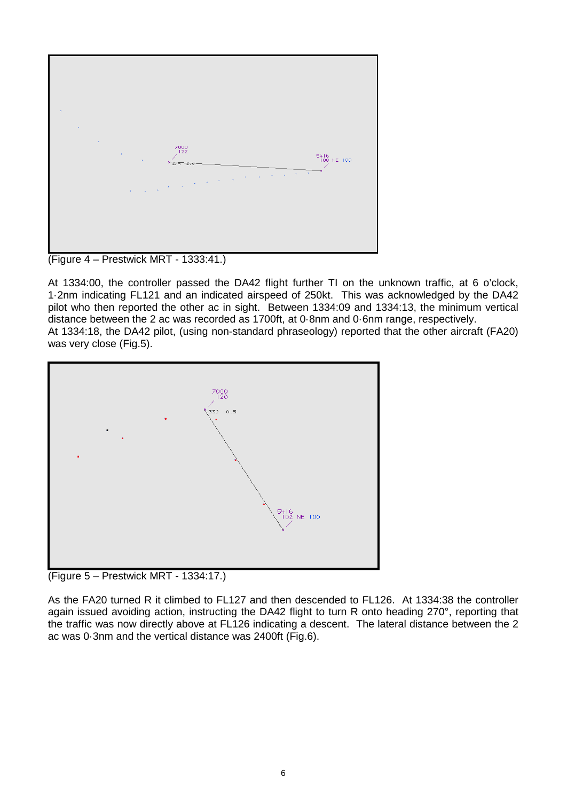

(Figure 4 – Prestwick MRT - 1333:41.)

At 1334:00, the controller passed the DA42 flight further TI on the unknown traffic, at 6 o'clock, 1·2nm indicating FL121 and an indicated airspeed of 250kt. This was acknowledged by the DA42 pilot who then reported the other ac in sight. Between 1334:09 and 1334:13, the minimum vertical distance between the 2 ac was recorded as 1700ft, at 0·8nm and 0·6nm range, respectively. At 1334:18, the DA42 pilot, (using non-standard phraseology) reported that the other aircraft (FA20) was very close (Fig.5).



(Figure 5 – Prestwick MRT - 1334:17.)

As the FA20 turned R it climbed to FL127 and then descended to FL126. At 1334:38 the controller again issued avoiding action, instructing the DA42 flight to turn R onto heading 270°, reporting that the traffic was now directly above at FL126 indicating a descent. The lateral distance between the 2 ac was 0·3nm and the vertical distance was 2400ft (Fig.6).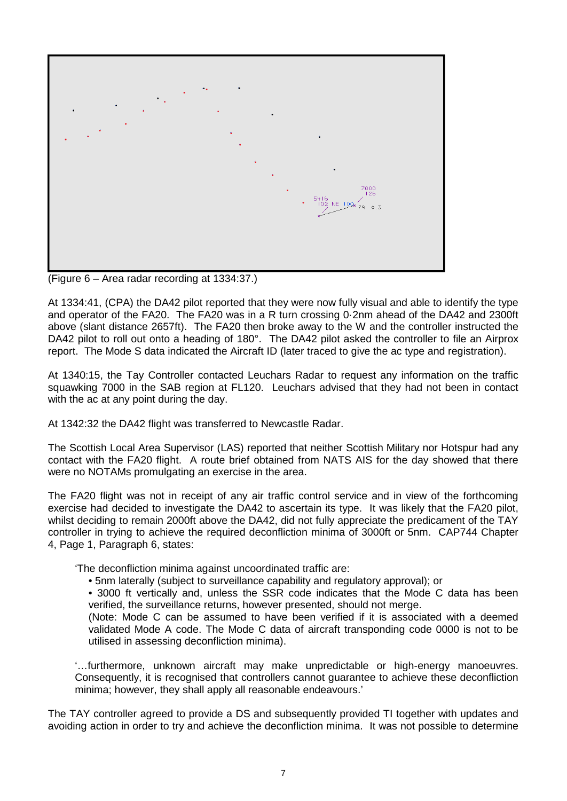

(Figure 6 – Area radar recording at 1334:37.)

At 1334:41, (CPA) the DA42 pilot reported that they were now fully visual and able to identify the type and operator of the FA20. The FA20 was in a R turn crossing 0·2nm ahead of the DA42 and 2300ft above (slant distance 2657ft). The FA20 then broke away to the W and the controller instructed the DA42 pilot to roll out onto a heading of 180°. The DA42 pilot asked the controller to file an Airprox report. The Mode S data indicated the Aircraft ID (later traced to give the ac type and registration).

At 1340:15, the Tay Controller contacted Leuchars Radar to request any information on the traffic squawking 7000 in the SAB region at FL120. Leuchars advised that they had not been in contact with the ac at any point during the day.

At 1342:32 the DA42 flight was transferred to Newcastle Radar.

The Scottish Local Area Supervisor (LAS) reported that neither Scottish Military nor Hotspur had any contact with the FA20 flight. A route brief obtained from NATS AIS for the day showed that there were no NOTAMs promulgating an exercise in the area.

The FA20 flight was not in receipt of any air traffic control service and in view of the forthcoming exercise had decided to investigate the DA42 to ascertain its type. It was likely that the FA20 pilot, whilst deciding to remain 2000ft above the DA42, did not fully appreciate the predicament of the TAY controller in trying to achieve the required deconfliction minima of 3000ft or 5nm. CAP744 Chapter 4, Page 1, Paragraph 6, states:

'The deconfliction minima against uncoordinated traffic are:

• 5nm laterally (subject to surveillance capability and regulatory approval); or

• 3000 ft vertically and, unless the SSR code indicates that the Mode C data has been verified, the surveillance returns, however presented, should not merge.

(Note: Mode C can be assumed to have been verified if it is associated with a deemed validated Mode A code. The Mode C data of aircraft transponding code 0000 is not to be utilised in assessing deconfliction minima).

'…furthermore, unknown aircraft may make unpredictable or high-energy manoeuvres. Consequently, it is recognised that controllers cannot guarantee to achieve these deconfliction minima; however, they shall apply all reasonable endeavours.'

The TAY controller agreed to provide a DS and subsequently provided TI together with updates and avoiding action in order to try and achieve the deconfliction minima. It was not possible to determine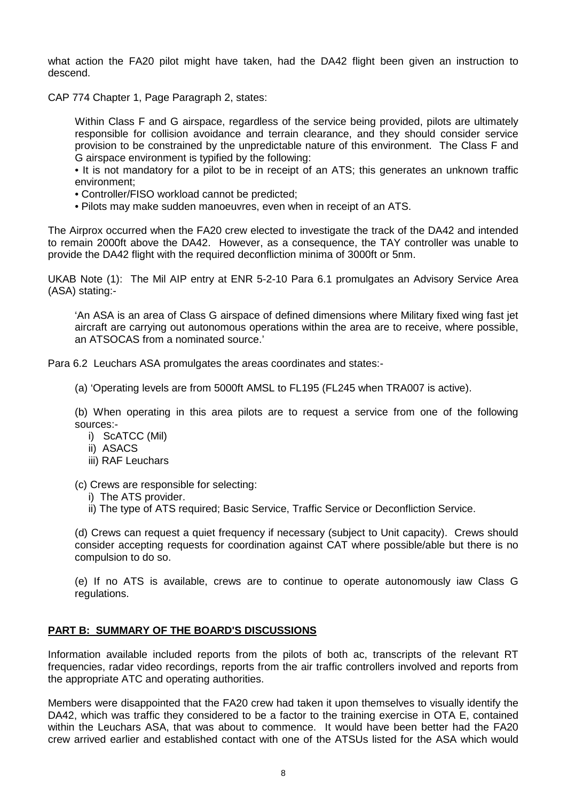what action the FA20 pilot might have taken, had the DA42 flight been given an instruction to descend.

CAP 774 Chapter 1, Page Paragraph 2, states:

Within Class F and G airspace, regardless of the service being provided, pilots are ultimately responsible for collision avoidance and terrain clearance, and they should consider service provision to be constrained by the unpredictable nature of this environment. The Class F and G airspace environment is typified by the following:

• It is not mandatory for a pilot to be in receipt of an ATS; this generates an unknown traffic environment;

- Controller/FISO workload cannot be predicted;
- Pilots may make sudden manoeuvres, even when in receipt of an ATS.

The Airprox occurred when the FA20 crew elected to investigate the track of the DA42 and intended to remain 2000ft above the DA42. However, as a consequence, the TAY controller was unable to provide the DA42 flight with the required deconfliction minima of 3000ft or 5nm.

UKAB Note (1): The Mil AIP entry at ENR 5-2-10 Para 6.1 promulgates an Advisory Service Area (ASA) stating:-

'An ASA is an area of Class G airspace of defined dimensions where Military fixed wing fast jet aircraft are carrying out autonomous operations within the area are to receive, where possible, an ATSOCAS from a nominated source.'

Para 6.2 Leuchars ASA promulgates the areas coordinates and states:-

(a) 'Operating levels are from 5000ft AMSL to FL195 (FL245 when TRA007 is active).

(b) When operating in this area pilots are to request a service from one of the following sources:-

- i) ScATCC (Mil)
- ii) ASACS
- iii) RAF Leuchars

(c) Crews are responsible for selecting:

- i) The ATS provider.
- ii) The type of ATS required; Basic Service, Traffic Service or Deconfliction Service.

(d) Crews can request a quiet frequency if necessary (subject to Unit capacity). Crews should consider accepting requests for coordination against CAT where possible/able but there is no compulsion to do so.

(e) If no ATS is available, crews are to continue to operate autonomously iaw Class G regulations.

## **PART B: SUMMARY OF THE BOARD'S DISCUSSIONS**

Information available included reports from the pilots of both ac, transcripts of the relevant RT frequencies, radar video recordings, reports from the air traffic controllers involved and reports from the appropriate ATC and operating authorities.

Members were disappointed that the FA20 crew had taken it upon themselves to visually identify the DA42, which was traffic they considered to be a factor to the training exercise in OTA E, contained within the Leuchars ASA, that was about to commence. It would have been better had the FA20 crew arrived earlier and established contact with one of the ATSUs listed for the ASA which would